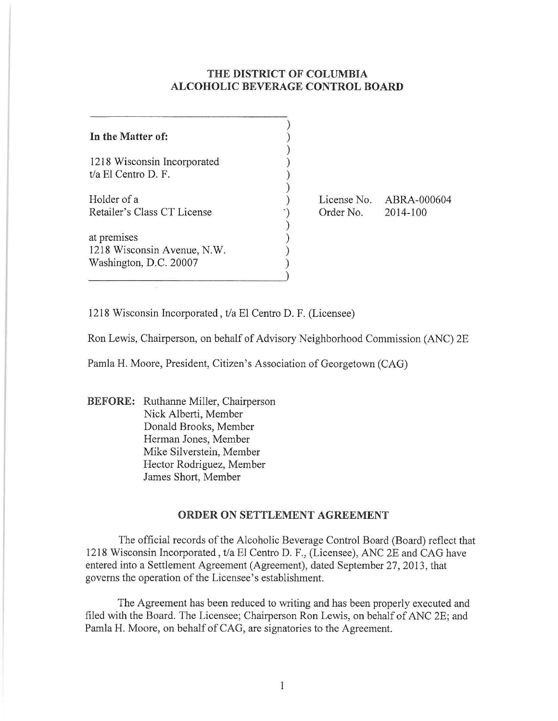## **THE DISTRICT OF COLUMBIA ALCOHOLIC BEVERAGE CONTROL BOARD**

| In the Matter of:           |  |
|-----------------------------|--|
| 1218 Wisconsin Incorporated |  |
| t/a El Centro D. F.         |  |
| Holder of a                 |  |
| Retailer's Class CT License |  |
| at premises                 |  |
| 1218 Wisconsin Avenue, N.W. |  |
| Washington, D.C. 20007      |  |
|                             |  |

Order No.

License No. ABRA-000604 2014-100

1218 Wisconsin Incorporated, t/a El Centro D. F. (Licensee)

Ron Lewis, Chairperson, on behalf of Advisory Neighborhood Commission (ANC) 2E

Pamla H. Moore, President, Citizen's Association of Georgetown (CAG)

**BEFORE:** Ruthanne Miller, Chairperson Nick Alberti, Member Donald Brooks, Member Herman Jones, Member Mike Silverstein, Member Hector Rodriguez, Member James Short, Member

## **ORDER ON SETTLEMENT AGREEMENT**

The official records of the Alcoholic Beverage Control Board (Board) reflect that 1218 Wisconsin Incorporated, t/a El Centro D. F., (Licensee), ANC 2E and CAG have entered into a Settlement Agreement (Agreement), dated September 27, 2013, that governs the operation of the Licensee's establishment.

The Agreement has been reduced to writing and has been properly executed and filed with the Board. The Licensee; Chairperson Ron Lewis, on behalf of ANC 2E; and Pamla H. Moore, on behalf of CAG, are signatories to the Agreement.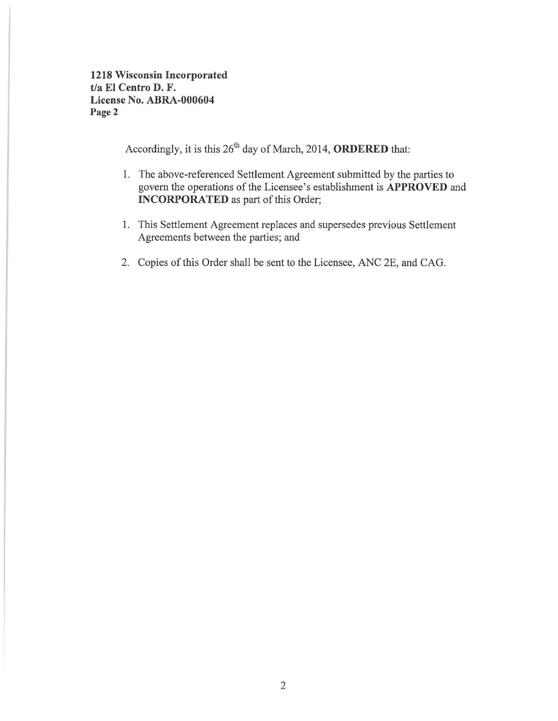1218 Wisconsin Incorporated t/a EI Centro D. F. License No. ABRA-000604 Page 2

Accordingly, it is this  $26<sup>th</sup>$  day of March, 2014, ORDERED that:

- I. The above-referenced Settlement Agreement submitted by the parties to govern the operations of the Licensee's establishment is APPROVED and INCORPORATED as part of this Order;
- I. This Settlement Agreement replaces and supersedes previous Settlement Agreements between the parties; and
- 2. Copies of this Order shall be sent to the Licensee, ANC 2E, and CAG.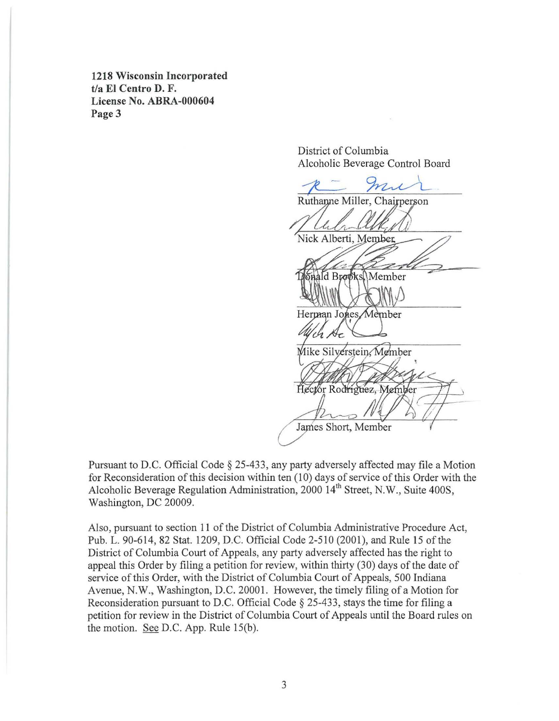**1218 Wisconsin Incorporated**  t/a **El Centro D. F. License** No. **ABRA-000604**  Page 3

> District of Columbia Alcoholic Beverage Control Board

Ruthanne Miller, Chairperson Nick Alberti, Member ald Brooks Member Herman Jones, Member Mike Silverstein, Member Hector Rodriguez, Member James Short, Member

Pursuant to D.C. Official Code § 25-433, any party adversely affected may file a Motion for Reconsideration of this decision within ten (10) days of service of this Order with the Alcoholic Beverage Regulation Administration, 2000 14<sup>th</sup> Street, N.W., Suite 400S, Washington, DC 20009.

Also, pursuant to section II of the District of Columbia Administrative Procedure Act, Pub. L. 90-614, 82 Stat. 1209, D.C. Official Code 2-510 (2001), and Rule 15 of the District of Columbia Court of Appeals, any party adversely affected has the right to appeal this Order by filing a petition for review, within thirty (30) days of the date of service of this Order, with the District of Columbia Court of Appeals, 500 Indiana Avenue, N.W., Washington, D.C. 20001. However, the timely filing of a Motion for Reconsideration pursuant to D.C. Official Code § 25-433, stays the time for filing a petition for review in the District of Columbia Court of Appeals until the Board rules on the motion. See D.C. App. Rule 15(b).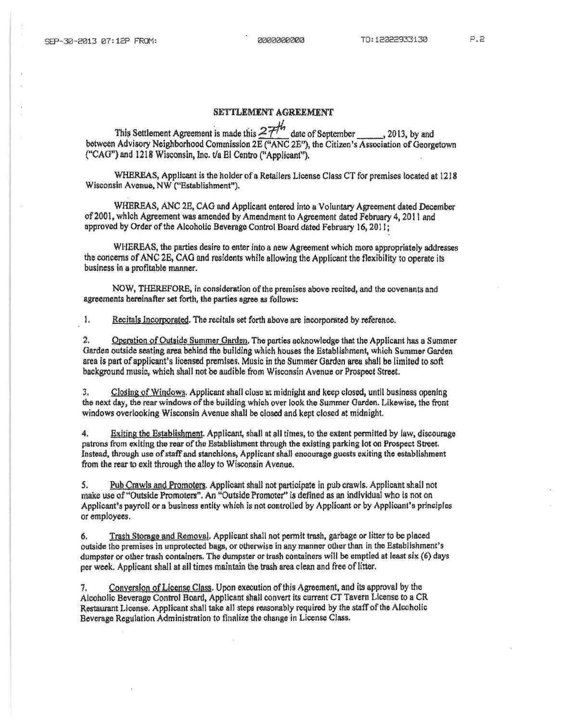## SETTLEMENT AGREEMENT

This Settlement Agreement is made this  $27<sup>th</sup>$  date of September , 2013, by and between Advisory Neighborhood Commission 2E ("ANC 2E"), the Citizen's Association of Georgetown ("CAG") and 1218 Wisconsin, Inc. t/a El Centro ("Applicant").

WHEREAS, Applicant is the holder of a Retailers LIcense Class CT for premises located at 1218 Wisconsin Avenue, NW ("Establishment").

WHEREAS, ANC 2E, CAG and Applicant entered into a Voluntary Agreement dated December of 2001, which Agreement was amended by Amendment to Agreement dated February 4, 2011 and approved by Order of the Alcoholic Beverage Control Board dated February 16, 2011;

WHEREAS, the parties desire to enter into a new Agreement which more appropriately addresses the concerns of ANC 28, CAG and residents while allowing the Applicant the flexibility to operate its business in a profitable manner.

NOW, THEREFORE, in consideration of the premises above recited, and the covenants and agreements hereinafter set forth, the parties agree as follows:

1. Recitals Incorporated. The recitals set forth above are incorporated by reference.

2. Operation of Outside Summer Garden. The parties acknowledge that the Applicant has a Summer Garden outside seating area behind the building which houses the Establishment, which Summer Garden area is part of applicant's licensed premises. Music in the Summer Garden area shall be limited to soft background music, which shall not be audible from Wisconsin Ayenue or Prospect Street.

3. Closing of Windows. Applicant shall close at midnight and keep closed, until business opening the next day, the rear windows of the building which over look the Summer Garden. Likewise, the front windows oyerlooking Wisconsin Ayenue shall be closed and kept closed at midnight.

4. Exiting the Establishment. Applicant, shall at all times, to the extent permitted by law, discourage patrons from exiting the rear of the Establishment through the existing parking lot on Prospect Street. lnstoad, through use of staff and stanchions, Applicant shall encourage gucsts exiling the establishment from the rear to exit through the alley to Wisconsin Avenue.

5. Pub Crawls and Promoters. Applicant shall not participate in pub crawls. Applicant shall not make use of "Outside Promoters". An "Outside Promoter" is defined as an individual who is not on Applicant's payroll or a business entity which is not controlled by Applicant or by Applicant's principles or employees.

6. Trash Storage and Remoyal. Applicant shall not permit tmsh, garbage or litter to be placed outside the premises in unprotected bags, or otherwise in any manner other than in the Establishment's dumpster or other trash containers. The dumpster or trash containers will be emptied at least six (6) days per week. Applicant shall at all times maintain the trash area clean and free of litter.

Conversion of License Class. Upon execution of this Agreement, and its approval by the Alcoholic Beverage Control Board, Applicant shall convert its current CT Tavern License to a CR R.estaurant License. Applicant shall take all steps reasonably required by tho staff of tho Alcoholic Beverage Regulation Administration to finalize the change in License Class.